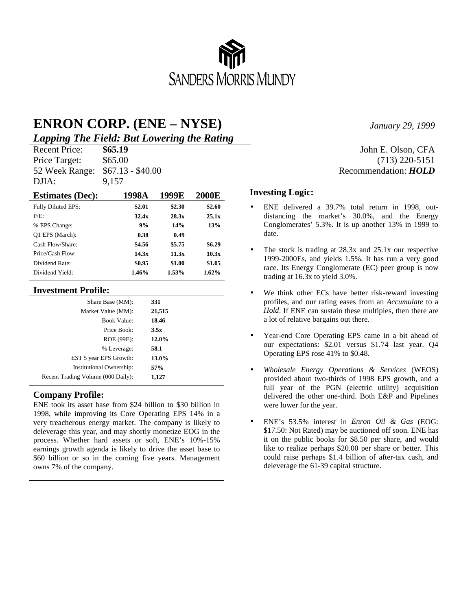

## **ENRON CORP. (ENE – NYSE)**

*Lapping The Field: But Lowering the Rating*

Price Target: \$65.00 (713) 220-5151 52 Week Range: \$67.13 - \$40.00 Recommendation: *HOLD* DJIA: 9,157

| <b>Estimates (Dec):</b> | 1998A  | 1999E  | <b>2000E</b> |
|-------------------------|--------|--------|--------------|
| Fully Diluted EPS:      | \$2.01 | \$2.30 | \$2.60       |
| $P/F$ .                 | 32.4x  | 28.3x  | 25.1x        |
| % EPS Change:           | 9%     | 14%    | 13%          |
| O1 EPS (March):         | 0.38   | 0.49   |              |
| Cash Flow/Share:        | \$4.56 | \$5.75 | \$6.29       |
| Price/Cash Flow:        | 14.3x  | 11.3x  | 10.3x        |
| Dividend Rate:          | \$0.95 | \$1.00 | \$1.05       |
| Dividend Yield:         | 1.46%  | 1.53%  | 1.62%        |

#### **Investment Profile:**

| Share Base (MM):                   | 331    |  |
|------------------------------------|--------|--|
| Market Value (MM):                 | 21,515 |  |
| <b>Book Value:</b>                 | 18.46  |  |
| Price Book:                        | 3.5x   |  |
| ROE (99E):                         | 12.0%  |  |
| % Leverage:                        | 58.1   |  |
| EST 5 year EPS Growth:             | 13.0%  |  |
| Institutional Ownership:           | 57%    |  |
| Recent Trading Volume (000 Daily): | 1,127  |  |
|                                    |        |  |

#### **Company Profile:**

ENE took its asset base from \$24 billion to \$30 billion in 1998, while improving its Core Operating EPS 14% in a very treacherous energy market. The company is likely to deleverage this year, and may shortly monetize EOG in the process. Whether hard assets or soft, ENE's 10%-15% earnings growth agenda is likely to drive the asset base to \$60 billion or so in the coming five years. Management owns 7% of the company.

*January 29, 1999*

# Recent Price: **\$65.19** John E. Olson, CFA

#### **Investing Logic:**

- ENE delivered a 39.7% total return in 1998, outdistancing the market's 30.0%, and the Energy Conglomerates' 5.3%. It is up another 13% in 1999 to date.
- The stock is trading at 28.3x and 25.1x our respective 1999-2000Es, and yields 1.5%. It has run a very good race. Its Energy Conglomerate (EC) peer group is now trading at 16.3x to yield 3.0%.
- We think other ECs have better risk-reward investing profiles, and our rating eases from an *Accumulate* to a *Hold*. If ENE can sustain these multiples, then there are a lot of relative bargains out there.
- Year-end Core Operating EPS came in a bit ahead of our expectations: \$2.01 versus \$1.74 last year. Q4 Operating EPS rose 41% to \$0.48.
- *Wholesale Energy Operations & Services* (WEOS) provided about two-thirds of 1998 EPS growth, and a full year of the PGN (electric utility) acquisition delivered the other one-third. Both E&P and Pipelines were lower for the year.
- ENE's 53.5% interest in *Enron Oil & Gas* (EOG: \$17.50: Not Rated) may be auctioned off soon. ENE has it on the public books for \$8.50 per share, and would like to realize perhaps \$20.00 per share or better. This could raise perhaps \$1.4 billion of after-tax cash, and deleverage the 61-39 capital structure.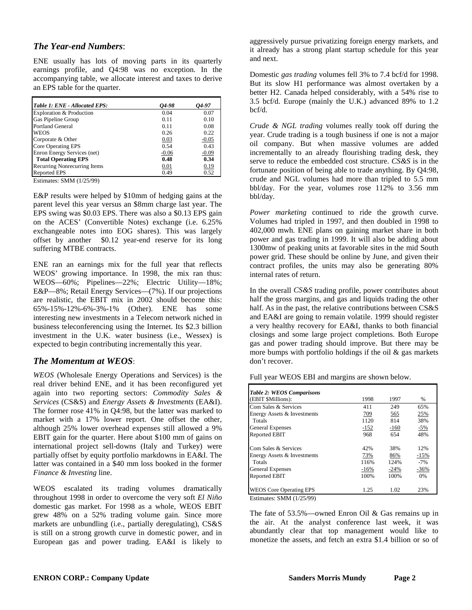#### *The Year-end Numbers*:

ENE usually has lots of moving parts in its quarterly earnings profile, and Q4:98 was no exception. In the accompanying table, we allocate interest and taxes to derive an EPS table for the quarter.

| Table 1: ENE - Allocated EPS: | 04-98   | 04-97   |
|-------------------------------|---------|---------|
| Exploration & Production      | 0.04    | 0.07    |
| Gas Pipeline Group            | 0.11    | 0.10    |
| <b>Portland General</b>       | 0.11    | 0.08    |
| <b>WEOS</b>                   | 0.26    | 0.22    |
| Corporate & Other             | 0.03    | $-0.05$ |
| <b>Core Operating EPS</b>     | 0.54    | 0.43    |
| Enron Energy Services (net)   | $-0.06$ | $-0.09$ |
| <b>Total Operating EPS</b>    | 0.48    | 0.34    |
| Recurring Nonrecurring Items  | 0.01    | 0.19    |
| <b>Reported EPS</b>           | 0.49    | 0.52    |

Estimates: SMM (1/25/99)

E&P results were helped by \$10mm of hedging gains at the parent level this year versus an \$8mm charge last year. The EPS swing was \$0.03 EPS. There was also a \$0.13 EPS gain on the ACES' (Convertible Notes) exchange (i.e. 6.25% exchangeable notes into EOG shares). This was largely offset by another \$0.12 year-end reserve for its long suffering MTBE contracts.

ENE ran an earnings mix for the full year that reflects WEOS' growing importance. In 1998, the mix ran thus: WEOS—60%; Pipelines—22%; Electric Utility—18%; E&P—8%; Retail Energy Services—(7%). If our projections are realistic, the EBIT mix in 2002 should become this: 65%-15%-12%-6%-3%-1% (Other). ENE has some interesting new investments in a Telecom network niched in business teleconferencing using the Internet. Its \$2.3 billion investment in the U.K. water business (i.e., Wessex) is expected to begin contributing incrementally this year.

#### *The Momentum at WEOS*:

*WEOS* (Wholesale Energy Operations and Services) is the real driver behind ENE, and it has been reconfigured yet again into two reporting sectors: *Commodity Sales & Services* (CS&S) and *Energy Assets & Investments* (EA&I). The former rose 41% in Q4:98, but the latter was marked to market with a 17% lower report. One offset the other, although 25% lower overhead expenses still allowed a 9% EBIT gain for the quarter. Here about \$100 mm of gains on international project sell-downs (Italy and Turkey) were partially offset by equity portfolio markdowns in EA&I. The latter was contained in a \$40 mm loss booked in the former *Finance & Investing* line.

WEOS escalated its trading volumes dramatically throughout 1998 in order to overcome the very soft *El Niño* domestic gas market. For 1998 as a whole, WEOS EBIT grew 48% on a 52% trading volume gain. Since more markets are unbundling (i.e., partially deregulating), CS&S is still on a strong growth curve in domestic power, and in European gas and power trading. EA&I is likely to

aggressively pursue privatizing foreign energy markets, and it already has a strong plant startup schedule for this year and next.

Domestic *gas trading* volumes fell 3% to 7.4 bcf/d for 1998. But its slow H1 performance was almost overtaken by a better H2. Canada helped considerably, with a 54% rise to 3.5 bcf/d. Europe (mainly the U.K.) advanced 89% to 1.2 bcf/d.

*Crude & NGL trading* volumes really took off during the year. Crude trading is a tough business if one is not a major oil company. But when massive volumes are added incrementally to an already flourishing trading desk, they serve to reduce the embedded cost structure. *CS&S* is in the fortunate position of being able to trade anything. By Q4:98, crude and NGL volumes had more than tripled to 5.5 mm bbl/day. For the year, volumes rose 112% to 3.56 mm bbl/day.

*Power marketing* continued to ride the growth curve. Volumes had tripled in 1997, and then doubled in 1998 to 402,000 mwh. ENE plans on gaining market share in both power and gas trading in 1999. It will also be adding about 1300mw of peaking units at favorable sites in the mid South power grid. These should be online by June, and given their contract profiles, the units may also be generating 80% internal rates of return.

In the overall *CS&S* trading profile, power contributes about half the gross margins, and gas and liquids trading the other half. As in the past, the relative contributions between CS&S and EA&I are going to remain volatile. 1999 should register a very healthy recovery for EA&I, thanks to both financial closings and some large project completions. Both Europe gas and power trading should improve. But there may be more bumps with portfolio holdings if the oil  $\&$  gas markets don't recover.

Full year WEOS EBI and margins are shown below.

| Table 2: WEOS Comparisons      |        |        |        |
|--------------------------------|--------|--------|--------|
| (EBIT \$Millions):             | 1998   | 1997   | %      |
| Com Sales & Services           | 411    | 249    | 65%    |
| Energy Assets & Investments    | 709    | 565    | 25%    |
| Totals                         | 1120   | 814    | 38%    |
| <b>General Expenses</b>        | $-152$ | $-160$ | $-5%$  |
| Reported EBIT                  | 968    | 654    | 48%    |
| Com Sales & Services           | 42%    | 38%    | 12%    |
| Energy Assets & Investments    | 73%    | 86%    | $-15%$ |
| Totals                         | 116%   | 124%   | $-7%$  |
| <b>General Expenses</b>        | $-16%$ | $-24%$ | $-36%$ |
| Reported EBIT                  | 100%   | 100%   | 0%     |
| <b>WEOS Core Operating EPS</b> | 1.25   | 1.02   | 23%    |

Estimates: SMM (1/25/99)

The fate of 53.5%—owned Enron Oil & Gas remains up in the air. At the analyst conference last week, it was abundantly clear that top management would like to monetize the assets, and fetch an extra \$1.4 billion or so of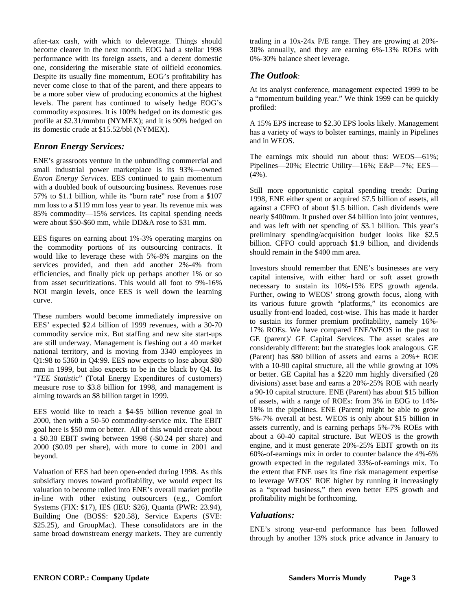after-tax cash, with which to deleverage. Things should become clearer in the next month. EOG had a stellar 1998 performance with its foreign assets, and a decent domestic one, considering the miserable state of oilfield economics. Despite its usually fine momentum, EOG's profitability has never come close to that of the parent, and there appears to be a more sober view of producing economics at the highest levels. The parent has continued to wisely hedge EOG's commodity exposures. It is 100% hedged on its domestic gas profile at \$2.31/mmbtu (NYMEX); and it is 90% hedged on its domestic crude at \$15.52/bbl (NYMEX).

#### *Enron Energy Services:*

ENE's grassroots venture in the unbundling commercial and small industrial power marketplace is its 93%—owned *Enron Energy Services*. EES continued to gain momentum with a doubled book of outsourcing business. Revenues rose 57% to \$1.1 billion, while its "burn rate" rose from a \$107 mm loss to a \$119 mm loss year to year. Its revenue mix was 85% commodity—15% services. Its capital spending needs were about \$50-\$60 mm, while DD&A rose to \$31 mm.

EES figures on earning about 1%-3% operating margins on the commodity portions of its outsourcing contracts. It would like to leverage these with 5%-8% margins on the services provided, and then add another 2%-4% from efficiencies, and finally pick up perhaps another 1% or so from asset securitizations. This would all foot to 9%-16% NOI margin levels, once EES is well down the learning curve.

These numbers would become immediately impressive on EES' expected \$2.4 billion of 1999 revenues, with a 30-70 commodity service mix. But staffing and new site start-ups are still underway. Management is fleshing out a 40 market national territory, and is moving from 3340 employees in Q1:98 to 5360 in Q4:99. EES now expects to lose about \$80 mm in 1999, but also expects to be in the black by Q4. Its "*TEE Statistic*" (Total Energy Expenditures of customers) measure rose to \$3.8 billion for 1998, and management is aiming towards an \$8 billion target in 1999.

EES would like to reach a \$4-\$5 billion revenue goal in 2000, then with a 50-50 commodity-service mix. The EBIT goal here is \$50 mm or better. All of this would create about a \$0.30 EBIT swing between 1998 (-\$0.24 per share) and 2000 (\$0.09 per share), with more to come in 2001 and beyond.

Valuation of EES had been open-ended during 1998. As this subsidiary moves toward profitability, we would expect its valuation to become rolled into ENE's overall market profile in-line with other existing outsourcers (e.g., Comfort Systems (FIX: \$17), IES (IEU: \$26), Quanta (PWR: 23.94), Building One (BOSS: \$20.58), Service Experts (SVE: \$25.25), and GroupMac). These consolidators are in the same broad downstream energy markets. They are currently

trading in a 10x-24x P/E range. They are growing at 20%- 30% annually, and they are earning 6%-13% ROEs with 0%-30% balance sheet leverage.

#### *The Outlook*:

At its analyst conference, management expected 1999 to be a "momentum building year." We think 1999 can be quickly profiled:

A 15% EPS increase to \$2.30 EPS looks likely. Management has a variety of ways to bolster earnings, mainly in Pipelines and in WEOS.

The earnings mix should run about thus: WEOS—61%; Pipelines—20%; Electric Utility—16%; E&P—7%; EES—  $(4\%)$ .

Still more opportunistic capital spending trends: During 1998, ENE either spent or acquired \$7.5 billion of assets, all against a CFFO of about \$1.5 billion. Cash dividends were nearly \$400mm. It pushed over \$4 billion into joint ventures, and was left with net spending of \$3.1 billion. This year's preliminary spending/acquisition budget looks like \$2.5 billion. CFFO could approach \$1.9 billion, and dividends should remain in the \$400 mm area.

Investors should remember that ENE's businesses are very capital intensive, with either hard or soft asset growth necessary to sustain its 10%-15% EPS growth agenda. Further, owing to WEOS' strong growth focus, along with its various future growth "platforms," its economics are usually front-end loaded, cost-wise. This has made it harder to sustain its former premium profitability, namely 16%- 17% ROEs. We have compared ENE/WEOS in the past to GE (parent)/ GE Capital Services. The asset scales are considerably different: but the strategies look analogous. GE (Parent) has \$80 billion of assets and earns a 20%+ ROE with a 10-90 capital structure, all the while growing at 10% or better. GE Capital has a \$220 mm highly diversified (28 divisions) asset base and earns a 20%-25% ROE with nearly a 90-10 capital structure. ENE (Parent) has about \$15 billion of assets, with a range of ROEs: from 3% in EOG to 14%- 18% in the pipelines. ENE (Parent) might be able to grow 5%-7% overall at best. WEOS is only about \$15 billion in assets currently, and is earning perhaps 5%-7% ROEs with about a 60-40 capital structure. But WEOS is the growth engine, and it must generate 20%-25% EBIT growth on its 60%-of-earnings mix in order to counter balance the 4%-6% growth expected in the regulated 33%-of-earnings mix. To the extent that ENE uses its fine risk management expertise to leverage WEOS' ROE higher by running it increasingly as a "spread business," then even better EPS growth and profitability might be forthcoming.

#### *Valuations:*

ENE's strong year-end performance has been followed through by another 13% stock price advance in January to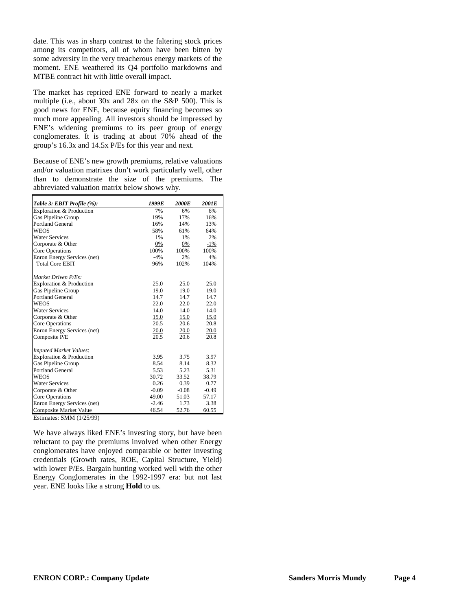date. This was in sharp contrast to the faltering stock prices among its competitors, all of whom have been bitten by some adversity in the very treacherous energy markets of the moment. ENE weathered its Q4 portfolio markdowns and MTBE contract hit with little overall impact.

The market has repriced ENE forward to nearly a market multiple (i.e., about 30x and 28x on the S&P 500). This is good news for ENE, because equity financing becomes so much more appealing. All investors should be impressed by ENE's widening premiums to its peer group of energy conglomerates. It is trading at about 70% ahead of the group's 16.3x and 14.5x P/Es for this year and next.

Because of ENE's new growth premiums, relative valuations and/or valuation matrixes don't work particularly well, other than to demonstrate the size of the premiums. The abbreviated valuation matrix below shows why.

| Table 3: EBIT Profile (%):    | 1999E   | <b>2000E</b> | 2001E   |
|-------------------------------|---------|--------------|---------|
| Exploration & Production      | 7%      | 6%           | 6%      |
| Gas Pipeline Group            | 19%     | 17%          | 16%     |
| <b>Portland General</b>       | 16%     | 14%          | 13%     |
| <b>WEOS</b>                   | 58%     | 61%          | 64%     |
| <b>Water Services</b>         | 1%      | 1%           | 2%      |
| Corporate & Other             | 0%      | 0%           | $-1\%$  |
| Core Operations               | 100%    | 100%         | 100%    |
| Enron Energy Services (net)   | $-4%$   | 2%           | 4%      |
| <b>Total Core EBIT</b>        | 96%     | 102%         | 104%    |
| Market Driven P/Es:           |         |              |         |
| Exploration & Production      | 25.0    | 25.0         | 25.0    |
| Gas Pipeline Group            | 19.0    | 19.0         | 19.0    |
| <b>Portland General</b>       | 14.7    | 14.7         | 14.7    |
| <b>WEOS</b>                   | 22.0    | 22.0         | 22.0    |
| <b>Water Services</b>         | 14.0    | 14.0         | 14.0    |
| Corporate & Other             | 15.0    | 15.0         | 15.0    |
| Core Operations               | 20.5    | 20.6         | 20.8    |
| Enron Energy Services (net)   | 20.0    | 20.0         | 20.0    |
| Composite P/E                 | 20.5    | 20.6         | 20.8    |
| <b>Imputed Market Values:</b> |         |              |         |
| Exploration & Production      | 3.95    | 3.75         | 3.97    |
| Gas Pipeline Group            | 8.54    | 8.14         | 8.32    |
| <b>Portland General</b>       | 5.53    | 5.23         | 5.31    |
| <b>WEOS</b>                   | 30.72   | 33.52        | 38.79   |
| <b>Water Services</b>         | 0.26    | 0.39         | 0.77    |
| Corporate & Other             | $-0.09$ | $-0.08$      | $-0.49$ |
| Core Operations               | 49.00   | 51.03        | 57.17   |
| Enron Energy Services (net)   | $-2.46$ | 1.73         | 3.38    |
| <b>Composite Market Value</b> | 46.54   | 52.76        | 60.55   |

Estimates: SMM (1/25/99)

We have always liked ENE's investing story, but have been reluctant to pay the premiums involved when other Energy conglomerates have enjoyed comparable or better investing credentials (Growth rates, ROE, Capital Structure, Yield) with lower P/Es. Bargain hunting worked well with the other Energy Conglomerates in the 1992-1997 era: but not last year. ENE looks like a strong **Hold** to us.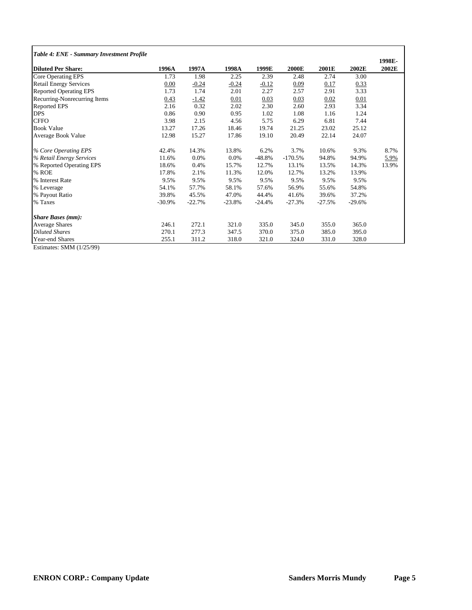|      | 1997A                                                                                                                | 1998A    | 1999E    | <b>2000E</b> | 2001E    | 2002E    | 1998E-<br>2002E |
|------|----------------------------------------------------------------------------------------------------------------------|----------|----------|--------------|----------|----------|-----------------|
| 1.73 | 1.98                                                                                                                 | 2.25     | 2.39     | 2.48         | 2.74     | 3.00     |                 |
| 0.00 | $-0.24$                                                                                                              | $-0.24$  | $-0.12$  | 0.09         | 0.17     | 0.33     |                 |
| 1.73 | 1.74                                                                                                                 | 2.01     | 2.27     | 2.57         | 2.91     | 3.33     |                 |
| 0.43 | $-1.42$                                                                                                              | 0.01     | 0.03     | 0.03         | 0.02     | 0.01     |                 |
| 2.16 | 0.32                                                                                                                 | 2.02     | 2.30     | 2.60         | 2.93     | 3.34     |                 |
| 0.86 | 0.90                                                                                                                 | 0.95     | 1.02     | 1.08         | 1.16     | 1.24     |                 |
| 3.98 | 2.15                                                                                                                 | 4.56     | 5.75     | 6.29         | 6.81     | 7.44     |                 |
|      | 17.26                                                                                                                | 18.46    | 19.74    | 21.25        | 23.02    | 25.12    |                 |
|      | 15.27                                                                                                                | 17.86    | 19.10    | 20.49        | 22.14    | 24.07    |                 |
|      | 14.3%                                                                                                                | 13.8%    | 6.2%     | 3.7%         | 10.6%    | 9.3%     | 8.7%            |
|      | 0.0%                                                                                                                 | 0.0%     | $-48.8%$ | $-170.5%$    | 94.8%    | 94.9%    | 5.9%            |
|      | 0.4%                                                                                                                 | 15.7%    | 12.7%    | 13.1%        | 13.5%    | 14.3%    | 13.9%           |
|      | 2.1%                                                                                                                 | 11.3%    | 12.0%    | 12.7%        | 13.2%    | 13.9%    |                 |
| 9.5% | 9.5%                                                                                                                 | 9.5%     | 9.5%     | 9.5%         | 9.5%     | 9.5%     |                 |
|      | 57.7%                                                                                                                | 58.1%    | 57.6%    | 56.9%        | 55.6%    | 54.8%    |                 |
|      | 45.5%                                                                                                                | 47.0%    | 44.4%    | 41.6%        | 39.6%    | 37.2%    |                 |
|      | $-22.7%$                                                                                                             | $-23.8%$ | $-24.4%$ | $-27.3%$     | $-27.5%$ | $-29.6%$ |                 |
|      |                                                                                                                      |          |          |              |          |          |                 |
|      | 272.1                                                                                                                | 321.0    | 335.0    | 345.0        | 355.0    | 365.0    |                 |
|      | 277.3                                                                                                                | 347.5    | 370.0    | 375.0        | 385.0    | 395.0    |                 |
|      | 311.2                                                                                                                | 318.0    | 321.0    | 324.0        | 331.0    | 328.0    |                 |
|      | 1996A<br>13.27<br>12.98<br>42.4%<br>11.6%<br>18.6%<br>17.8%<br>54.1%<br>39.8%<br>$-30.9%$<br>246.1<br>270.1<br>255.1 |          |          |              |          |          |                 |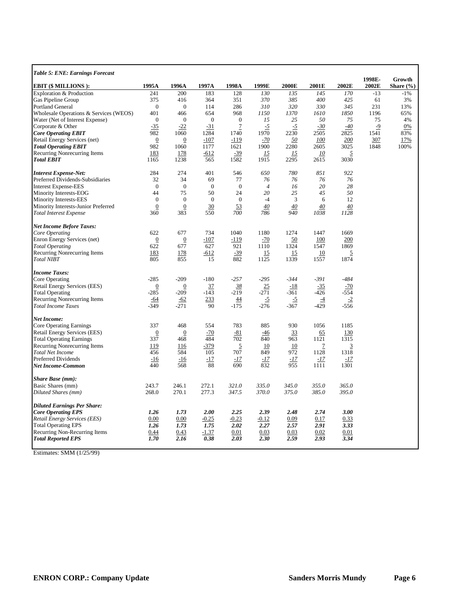| <b>Table 5: ENE: Earnings Forecast</b>                 |                  |                  |                |                  |                 |              |                 |               | 1998E- | Growth        |
|--------------------------------------------------------|------------------|------------------|----------------|------------------|-----------------|--------------|-----------------|---------------|--------|---------------|
| <b>EBIT (\$ MILLIONS):</b>                             | 1995A            | 1996A            | 1997A          | 1998A            | 1999E           | 2000E        | 2001E           | 2002E         | 2002E  | Share $(\% )$ |
| Exploration & Production                               | 241              | 200              | 183            | 128              | 130             | 135          | 145             | 170           | $-13$  | $-1%$         |
| Gas Pipeline Group                                     | 375              | 416              | 364            | 351              | 370             | 385          | 400             | 425           | 61     | 3%            |
| Portland General                                       | $\boldsymbol{0}$ | $\mathbf{0}$     | 114            | 286              | 310             | 320          | 330             | 345           | 231    | 13%           |
| Wholesale Operations & Services (WEOS)                 | 401              | 466              | 654            | 968              | 1150            | 1370         | 1610            | 1850          | 1196   | 65%           |
| Water (Net of Interest Expense)                        | $\boldsymbol{0}$ | $\theta$         | $\theta$       | $\boldsymbol{0}$ | 15              | 25           | 50              | 75            | 75     | 4%            |
| Corporate & Other                                      | $-35$            | $-22$            | $-31$          | $\overline{1}$   | $\overline{-2}$ | <u>-5</u>    | $-30$           | $-40$         | $-9$   | 0%            |
| <b>Core Operating EBIT</b>                             | 982              | 1060             | 1284           | 1740             | 1970            | 2230         | 2505            | 2825          | 1541   | 83%           |
| Retail Energy Services (net)                           | $\overline{0}$   | $\boldsymbol{0}$ | $-107$         | $-119$           | $-70$           | <u>50</u>    | 100             | 200           | 307    | 17%           |
| <b>Total Operating EBIT</b>                            | 982              | 1060             | 1177           | 1621             | 1900            | 2280         | 2605            | 3025          | 1848   | 100%          |
| Recurring Nonrecurring Items                           | 183              | 178              | $-612$         | $-39$            | <u> 15</u>      | <u> 15</u>   | 10              | 5             |        |               |
| <b>Total EBIT</b>                                      | 1165             | 1238             | 565            | 1582             | 1915            | 2295         | 2615            | 3030          |        |               |
| <b>Interest Expense-Net:</b>                           | 284              | 274              | 401            | 546              | 650             | 780          | 851             | 922           |        |               |
| Preferred Dividends-Subsidiaries                       | 32               | 34               | 69             | 77               | 76              | 76           | 76              | 76            |        |               |
| <b>Interest Expense-EES</b>                            | $\overline{0}$   | $\theta$         | $\overline{0}$ | $\overline{0}$   | $\overline{4}$  | 16           | 20              | 28            |        |               |
| Minority Interests-EOG                                 | 44               | 75               | 50             | 24               | 20              | 25           | 45              | 50            |        |               |
| Minority Interests-EES                                 | $\mathbf{0}$     | $\mathbf{0}$     | $\mathbf{0}$   | $\overline{0}$   | $-4$            | 3            | 6               | 12            |        |               |
| Minority Interests-Junior Preferred                    | $\boldsymbol{0}$ | $\boldsymbol{0}$ | 30             | 53               | 40              | 40           | 40              | 40            |        |               |
| <b>Total Interest Expense</b>                          | 360              | 383              | 550            | 700              | 786             | 940          | 1038            | 1128          |        |               |
| <b>Net Income Before Taxes:</b>                        |                  |                  |                |                  |                 |              |                 |               |        |               |
| Core Operating                                         | 622              | 677              | 734            | 1040             | 1180            | 1274         | 1447            | 1669          |        |               |
| Enron Energy Services (net)                            | $\boldsymbol{0}$ | $\boldsymbol{0}$ | -107           | $-119$           | $-70$           | 50           | 100             | 200           |        |               |
| <b>Total Operating</b>                                 | 622              | 677              | 627            | 921              | 1110            | 1324         | 1547            | 1869          |        |               |
| Recurring Nonrecurring Items                           | 183              | 178              | $-612$         | $-39$            | 15              | 15           | 10              | 5             |        |               |
| <b>Total NIBT</b>                                      | 805              | 855              | 15             | 882              | 1125            | 1339         | 1557            | 1874          |        |               |
| <b>Income Taxes:</b>                                   |                  |                  |                |                  |                 |              |                 |               |        |               |
| Core Operating                                         | $-285$           | $-209$           | $-180$         | $-257$           | $-295$          | $-344$       | $-391$          | $-484$        |        |               |
| Retail Energy Services (EES)                           | $\boldsymbol{0}$ | $\boldsymbol{0}$ | 37             | <u>38</u>        | 25              | $-18$        | $-35$           | $-70$         |        |               |
| <b>Total Operating</b>                                 | $-285$           | $-209$           | $-143$         | $-219$           | $-271$          | $-361$       | $-426$          | $-554$        |        |               |
| Recurring Nonrecurring Items                           | <u>-64</u>       | $-62$            | 233            | <u>44</u>        | $\overline{-2}$ | <u>-5</u>    | $\overline{-4}$ | $-2$          |        |               |
| <b>Total Income Taxes</b>                              | $-349$           | $-271$           | 90             | $-175$           | $-276$          | $-367$       | $-429$          | -556          |        |               |
| Net Income:                                            |                  |                  |                |                  |                 |              |                 |               |        |               |
| Core Operating Earnings                                | 337              | 468              | 554            | 783              | 885             | 930          | 1056            | 1185          |        |               |
| Retail Energy Services (EES)                           | $\boldsymbol{0}$ | $\boldsymbol{0}$ | $-70$          | $-81$            | $-46$           | 33           | 65              | 130           |        |               |
| <b>Total Operating Earnings</b>                        | 337              | 468              | 484            | 702              | 840             | 963          | 1121            | 1315          |        |               |
| Recurring Nonrecurring Items                           | <u>119</u>       | 116              | <u>-379</u>    | $\overline{2}$   | 10              | 10           | $\mathcal{I}$   | 3             |        |               |
| <b>Total Net Income</b>                                | 456              | 584              | 105            | 707              | 849             | 972          | 1128            | 1318          |        |               |
| <b>Preferred Dividends</b><br><b>Net Income-Common</b> | $-16$<br>440     | $-16$<br>568     | $-17$<br>88    | -17<br>690       | $-17$<br>832    | $-17$<br>955 | $-17$<br>1111   | $-17$<br>1301 |        |               |
|                                                        |                  |                  |                |                  |                 |              |                 |               |        |               |
| <b>Share Base (mm):</b>                                |                  |                  |                |                  |                 |              |                 |               |        |               |
| Basic Shares (mm)                                      | 243.7            | 246.1            | 272.1          | 321.0            | 335.0           | 345.0        | 355.0           | 365.0         |        |               |
| Diluted Shares (mm)                                    | 268.0            | 270.1            | 277.3          | 347.5            | 370.0           | 375.0        | 385.0           | 395.0         |        |               |
| <b>Diluted Earnings Per Share:</b>                     |                  |                  |                |                  |                 |              |                 |               |        |               |
| <b>Core Operating EPS</b>                              | 1.26             | 1.73             | 2.00           | 2.25             | 2.39            | 2.48         | 2.74            | 3.00          |        |               |
| Retail Energy Services (EES)                           | 0.00             | 0.00             | $-0.25$        | $-0.23$          | $-0.12$         | 0.09         | 0.17            | 0.33          |        |               |
| <b>Total Operating EPS</b>                             | 1.26             | 1.73             | 1.75           | 2.02             | 2.27            | 2.57         | 2.91            | 3.33          |        |               |
| Recurring Non-Recurring Items                          | 0.44             | 0.43             | $-1.37$        | 0.01             | 0.03            | 0.03         | 0.02            | 0.01          |        |               |
| <b>Total Reported EPS</b>                              | 1.70             | 2.16             | 0.38           | 2.03             | 2.30            | 2.59         | 2.93            | 3.34          |        |               |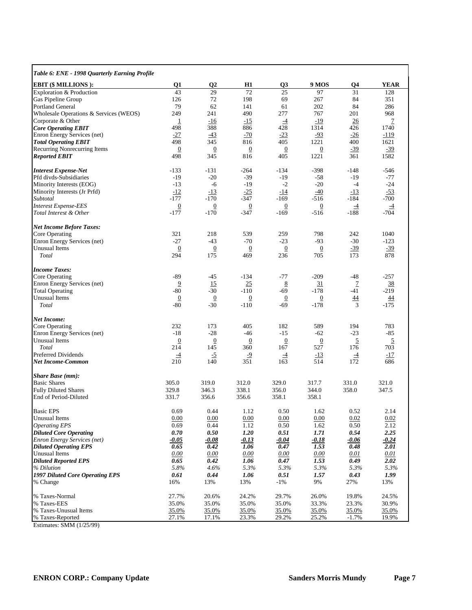| Table 6: ENE - 1998 Quarterly Earning Profile               |                            |                          |                          |                          |                          |                 |                |
|-------------------------------------------------------------|----------------------------|--------------------------|--------------------------|--------------------------|--------------------------|-----------------|----------------|
| <b>EBIT (\$ MILLIONS):</b>                                  | Q1                         | $\mathbf{Q}$             | H1                       | Q3                       | 9 MOS                    | Q4              | YEAR           |
| Exploration & Production                                    | 43                         | 29                       | 72                       | 25                       | 97                       | 31              | 128            |
| Gas Pipeline Group                                          | 126                        | 72                       | 198                      | 69                       | 267                      | 84              | 351            |
| Portland General                                            | 79                         | 62                       | 141                      | 61                       | 202                      | 84              | 286            |
| Wholesale Operations & Services (WEOS)<br>Corporate & Other | 249<br>$\overline{1}$      | 241<br>$-16$             | 490<br>$-15$             | 277<br>$\overline{-4}$   | 767<br>$-19$             | 201<br>26       | 968<br>7       |
| <b>Core Operating EBIT</b>                                  | 498                        | 388                      | 886                      | 428                      | 1314                     | 426             | 1740           |
| Enron Energy Services (net)                                 | $-27$                      | $-43$                    | $-70$                    | $-23$                    | $-93$                    | $-26$           | $-119$         |
| <b>Total Operating EBIT</b>                                 | 498                        | 345                      | 816                      | 405                      | 1221                     | 400             | 1621           |
| Recurring Nonrecurring Items<br><b>Reported EBIT</b>        | $\boldsymbol{0}$<br>498    | $\overline{0}$<br>345    | $\overline{0}$<br>816    | $\overline{0}$<br>405    | $\overline{0}$<br>1221   | $-39$<br>361    | $-39$<br>1582  |
| <b>Interest Expense-Net</b>                                 | $-133$                     | $-131$                   | $-264$                   | $-134$                   | $-398$                   | -148            | -546           |
| Pfd divds-Subsidiaries                                      | $-19$                      | $-20$                    | $-39$                    | $-19$                    | -58                      | $-19$           | $-77$          |
| Minority Interests (EOG)                                    | $-13$                      | -6                       | $-19$                    | $-2$                     | $-20$                    | $-4$            | $-24$          |
| Minority Interests (Jr Prfd)                                | $-12$                      | $-13$                    | $-25$                    | $-14$                    | $-40$                    | $-13$           | $-53$          |
| Subtotal<br><b>Interest Expense-EES</b>                     | $-177$<br>$\boldsymbol{0}$ | $-170$                   | -347<br>$\boldsymbol{0}$ | $-169$                   | -516<br>$\boldsymbol{0}$ | $-184$<br>$-4$  | $-700$         |
| Total Interest & Other                                      | $-177$                     | $\overline{0}$<br>$-170$ | $-347$                   | $\overline{0}$<br>$-169$ | $-516$                   | $-188$          | $-4$<br>$-704$ |
|                                                             |                            |                          |                          |                          |                          |                 |                |
| <b>Net Income Before Taxes:</b>                             |                            |                          |                          |                          |                          |                 |                |
| Core Operating                                              | 321                        | 218                      | 539                      | 259                      | 798                      | 242             | 1040           |
| Enron Energy Services (net)                                 | $-27$                      | $-43$                    | $-70$                    | $-23$                    | $-93$                    | $-30$           | $-123$         |
| <b>Unusual Items</b><br>Total                               | $\underline{0}$<br>294     | $\overline{0}$<br>175    | $\overline{0}$<br>469    | $\overline{0}$<br>236    | $\overline{0}$<br>705    | $-39$<br>173    | $-39$<br>878   |
| <b>Income Taxes:</b>                                        |                            |                          |                          |                          |                          |                 |                |
| Core Operating                                              | -89                        | -45                      | $-134$                   | $-77$                    | $-209$                   | $-48$           | $-257$         |
| Enron Energy Services (net)                                 | $\overline{9}$             | 15                       | 25                       | 8                        | 31                       | $\overline{1}$  | 38             |
| <b>Total Operating</b>                                      | $-80$                      | $-30$                    | $-110$                   | $-69$                    | -178                     | $-41$           | -219           |
| Unusual Items                                               | $\overline{0}$             | $\overline{0}$           | $\overline{0}$           | $\overline{0}$           | $\overline{0}$           | 44              | 44             |
| Total                                                       | $-80$                      | $-30$                    | $-110$                   | $-69$                    | $-178$                   | 3               | $-175$         |
| <b>Net Income:</b>                                          |                            |                          |                          |                          |                          |                 |                |
| Core Operating                                              | 232                        | 173                      | 405                      | 182                      | 589                      | 194             | 783            |
| Enron Energy Services (net)                                 | $-18$                      | $-28$                    | $-46$                    | $-15$                    | $-62$                    | $-23$           | $-85$          |
| Unusual Items                                               | $\overline{0}$             | $\overline{0}$           | $\overline{0}$           | $\overline{0}$           | $\overline{0}$           | 5               | 5              |
| Total                                                       | 214                        | 145                      | 360                      | 167                      | 527                      | 176             | 703            |
| Preferred Dividends                                         | $\overline{-4}$            | $\overline{-2}$          | $-9$                     | $\overline{-4}$          | $-13$                    | $\overline{-4}$ | $-17$          |
| Net Income-Common                                           | 210                        | 140                      | 351                      | 163                      | 514                      | 172             | 686            |
| <b>Share Base (mm):</b>                                     |                            |                          |                          |                          |                          |                 |                |
| <b>Basic Shares</b>                                         | 305.0                      | 319.0                    | 312.0                    | 329.0                    | 317.7                    | 331.0           | 321.0          |
| <b>Fully Diluted Shares</b>                                 | 329.8                      | 346.3<br>356.6           | 338.1                    | 356.0                    | 344.0                    | 358.0           | 347.5          |
| End of Period-Diluted                                       | 331.7                      |                          | 356.6                    | 358.1                    | 358.1                    |                 |                |
| <b>Basic EPS</b>                                            | 0.69                       | 0.44                     | 1.12                     | 0.50                     | 1.62                     | 0.52            | 2.14           |
| <b>Unusual Items</b>                                        | 0.00                       | 0.00                     | 0.00                     | 0.00                     | 0.00                     | 0.02            | 0.02           |
| <b>Operating EPS</b>                                        | 0.69                       | 0.44                     | 1.12                     | 0.50                     | 1.62                     | 0.50            | 2.12           |
| <b>Diluted Core Operating</b>                               | 0.70                       | 0.50                     | 1.20                     | 0.51                     | 1.71                     | 0.54            | 2.25           |
| <b>Enron Energy Services (net)</b>                          | <u>-0.05</u>               | $-0.08$                  | $-0.13$                  | $-0.04$                  | $-0.18$                  | -0.06           | $-0.24$        |
| <b>Diluted Operating EPS</b><br>Unusual Items               | 0.65                       | 0.42                     | 1.06                     | 0.47                     | 1.53                     | 0.48            | 2.01           |
| <b>Diluted Reported EPS</b>                                 | 0.00<br>0.65               | 0.00<br>0.42             | 0.00<br>1.06             | 0.00<br>0.47             | 0.00<br>1.53             | 0.01<br>0.49    | 0.01<br>2.02   |
| % Dilution                                                  | 5.8%                       | 4.6%                     | 5.3%                     | 5.3%                     | 5.3%                     | 5.3%            | 5.3%           |
| <b>1997 Diluted Core Operating EPS</b>                      | 0.61                       | 0.44                     | 1.06                     | 0.51                     | 1.57                     | 0.43            | 1.99           |
| % Change                                                    | 16%                        | 13%                      | 13%                      | $-1%$                    | 9%                       | 27%             | 13%            |
| % Taxes-Normal                                              | 27.7%                      | 20.6%                    | 24.2%                    | 29.7%                    | 26.0%                    | 19.8%           | 24.5%          |
| % Taxes-EES                                                 | 35.0%                      | 35.0%                    | 35.0%                    | 35.0%                    | 33.3%                    | 23.3%           | 30.9%          |
| % Taxes-Unusual Items                                       | 35.0%                      | 35.0%                    | 35.0%                    | 35.0%                    | 35.0%                    | 35.0%           | 35.0%          |
| % Taxes-Reported<br>$Eofimot = SMM (1/25/00)$               | 27.1%                      | 17.1%                    | 23.3%                    | 29.2%                    | 25.2%                    | $-1.7%$         | 19.9%          |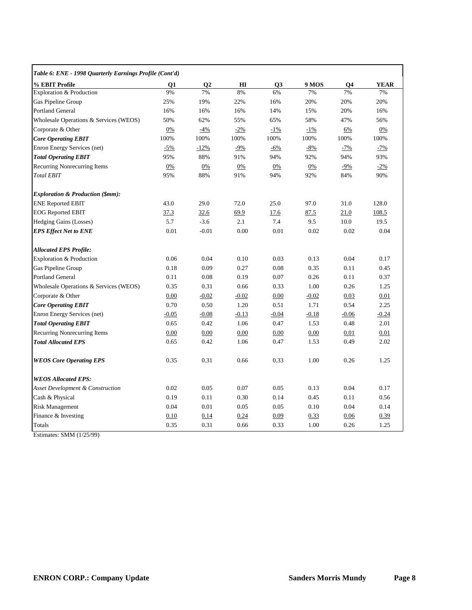| Table 6: ENE - 1998 Quarterly Earnings Profile (Cont'd) |         |                |         |         |         |                |             |  |  |
|---------------------------------------------------------|---------|----------------|---------|---------|---------|----------------|-------------|--|--|
| % EBIT Profile                                          | Q1      | Q <sub>2</sub> | Ш       | Q3      | 9 MOS   | Q <sub>4</sub> | <b>YEAR</b> |  |  |
| Exploration & Production                                | 9%      | 7%             | 8%      | 6%      | 7%      | 7%             | 7%          |  |  |
| Gas Pipeline Group                                      | 25%     | 19%            | 22%     | 16%     | 20%     | 20%            | 20%         |  |  |
| <b>Portland General</b>                                 | 16%     | 16%            | 16%     | 14%     | 15%     | 20%            | 16%         |  |  |
| Wholesale Operations & Services (WEOS)                  | 50%     | 62%            | 55%     | 65%     | 58%     | 47%            | 56%         |  |  |
| Corporate & Other                                       | 0%      | $-4%$          | $-2\%$  | $-1\%$  | $-1\%$  | 6%             | 0%          |  |  |
| <b>Core Operating EBIT</b>                              | 100%    | 100%           | 100%    | 100%    | 100%    | 100%           | 100%        |  |  |
| Enron Energy Services (net)                             | $-5%$   | $-12%$         | $-9%$   | $-6%$   | $-8%$   | $-7%$          | $-7%$       |  |  |
| <b>Total Operating EBIT</b>                             | 95%     | 88%            | 91%     | 94%     | 92%     | 94%            | 93%         |  |  |
| Recurring Nonrecurring Items                            | 0%      | 0%             | 0%      | 0%      | 0%      | $-9%$          | $-2\%$      |  |  |
| <b>Total EBIT</b>                                       | 95%     | 88%            | 91%     | 94%     | 92%     | 84%            | 90%         |  |  |
| <b>Exploration &amp; Production (\$mm):</b>             |         |                |         |         |         |                |             |  |  |
| <b>ENE Reported EBIT</b>                                | 43.0    | 29.0           | 72.0    | 25.0    | 97.0    | 31.0           | 128.0       |  |  |
| <b>EOG Reported EBIT</b>                                | 37.3    | 32.6           | 69.9    | 17.6    | 87.5    | 21.0           | 108.5       |  |  |
| Hedging Gains (Losses)                                  | 5.7     | $-3.6$         | 2.1     | 7.4     | 9.5     | 10.0           | 19.5        |  |  |
| <b>EPS Effect Net to ENE</b>                            | 0.01    | $-0.01$        | 0.00    | 0.01    | 0.02    | 0.02           | 0.04        |  |  |
| <b>Allocated EPS Profile:</b>                           |         |                |         |         |         |                |             |  |  |
| Exploration & Production                                | 0.06    | 0.04           | 0.10    | 0.03    | 0.13    | 0.04           | 0.17        |  |  |
| Gas Pipeline Group                                      | 0.18    | 0.09           | 0.27    | 0.08    | 0.35    | 0.11           | 0.45        |  |  |
| <b>Portland General</b>                                 | 0.11    | 0.08           | 0.19    | 0.07    | 0.26    | 0.11           | 0.37        |  |  |
| Wholesale Operations & Services (WEOS)                  | 0.35    | 0.31           | 0.66    | 0.33    | 1.00    | 0.26           | 1.25        |  |  |
| Corporate & Other                                       | 0.00    | $-0.02$        | $-0.02$ | 0.00    | $-0.02$ | 0.03           | 0.01        |  |  |
| <b>Core Operating EBIT</b>                              | 0.70    | 0.50           | 1.20    | 0.51    | 1.71    | 0.54           | 2.25        |  |  |
| Enron Energy Services (net)                             | $-0.05$ | $-0.08$        | $-0.13$ | $-0.04$ | $-0.18$ | $-0.06$        | $-0.24$     |  |  |
| <b>Total Operating EBIT</b>                             | 0.65    | 0.42           | 1.06    | 0.47    | 1.53    | 0.48           | 2.01        |  |  |
| Recurring Nonrecurring Items                            | 0.00    | 0.00           | 0.00    | 0.00    | 0.00    | 0.01           | 0.01        |  |  |
| <b>Total Allocated EPS</b>                              | 0.65    | 0.42           | 1.06    | 0.47    | 1.53    | 0.49           | 2.02        |  |  |
| <b>WEOS Core Operating EPS</b>                          | 0.35    | 0.31           | 0.66    | 0.33    | 1.00    | 0.26           | 1.25        |  |  |
| <b>WEOS Allocated EPS:</b>                              |         |                |         |         |         |                |             |  |  |
| <b>Asset Development &amp; Construction</b>             | 0.02    | 0.05           | 0.07    | 0.05    | 0.13    | 0.04           | 0.17        |  |  |
| Cash & Physical                                         | 0.19    | 0.11           | 0.30    | 0.14    | 0.45    | 0.11           | 0.56        |  |  |
| <b>Risk Management</b>                                  | 0.04    | 0.01           | 0.05    | 0.05    | 0.10    | 0.04           | 0.14        |  |  |
| Finance & Investing                                     | 0.10    | 0.14           | 0.24    | 0.09    | 0.33    | 0.06           | 0.39        |  |  |
| Totals                                                  | 0.35    | 0.31           | 0.66    | 0.33    | 1.00    | 0.26           | 1.25        |  |  |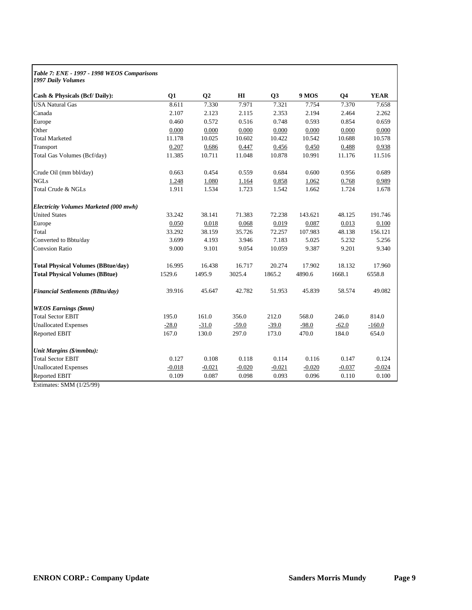| Table 7: ENE - 1997 - 1998 WEOS Comparisons<br>1997 Daily Volumes |          |          |          |                |              |                |             |
|-------------------------------------------------------------------|----------|----------|----------|----------------|--------------|----------------|-------------|
| Cash & Physicals (Bcf/Daily):                                     | Q1       | Q2       | H I      | Q <sub>3</sub> | <b>9 MOS</b> | Q <sub>4</sub> | <b>YEAR</b> |
| <b>USA Natural Gas</b>                                            | 8.611    | 7.330    | 7.971    | 7.321          | 7.754        | 7.370          | 7.658       |
| Canada                                                            | 2.107    | 2.123    | 2.115    | 2.353          | 2.194        | 2.464          | 2.262       |
| Europe                                                            | 0.460    | 0.572    | 0.516    | 0.748          | 0.593        | 0.854          | 0.659       |
| Other                                                             | 0.000    | 0.000    | 0.000    | 0.000          | 0.000        | 0.000          | 0.000       |
| <b>Total Marketed</b>                                             | 11.178   | 10.025   | 10.602   | 10.422         | 10.542       | 10.688         | 10.578      |
| Transport                                                         | 0.207    | 0.686    | 0.447    | 0.456          | 0.450        | 0.488          | 0.938       |
| Total Gas Volumes (Bcf/day)                                       | 11.385   | 10.711   | 11.048   | 10.878         | 10.991       | 11.176         | 11.516      |
| Crude Oil (mm bbl/day)                                            | 0.663    | 0.454    | 0.559    | 0.684          | 0.600        | 0.956          | 0.689       |
| <b>NGLs</b>                                                       | 1.248    | 1.080    | 1.164    | 0.858          | 1.062        | 0.768          | 0.989       |
| Total Crude & NGLs                                                | 1.911    | 1.534    | 1.723    | 1.542          | 1.662        | 1.724          | 1.678       |
| Electricity Volumes Marketed (000 mwh)                            |          |          |          |                |              |                |             |
| <b>United States</b>                                              | 33.242   | 38.141   | 71.383   | 72.238         | 143.621      | 48.125         | 191.746     |
| Europe                                                            | 0.050    | 0.018    | 0.068    | 0.019          | 0.087        | 0.013          | 0.100       |
| Total                                                             | 33.292   | 38.159   | 35.726   | 72.257         | 107.983      | 48.138         | 156.121     |
| Converted to Bbtu/day                                             | 3.699    | 4.193    | 3.946    | 7.183          | 5.025        | 5.232          | 5.256       |
| <b>Convsion Ratio</b>                                             | 9.000    | 9.101    | 9.054    | 10.059         | 9.387        | 9.201          | 9.340       |
| <b>Total Physical Volumes (BBtue/day)</b>                         | 16.995   | 16.438   | 16.717   | 20.274         | 17.902       | 18.132         | 17.960      |
| <b>Total Physical Volumes (BBtue)</b>                             | 1529.6   | 1495.9   | 3025.4   | 1865.2         | 4890.6       | 1668.1         | 6558.8      |
| <b>Financial Settlements (BBtu/day)</b>                           | 39.916   | 45.647   | 42.782   | 51.953         | 45.839       | 58.574         | 49.082      |
| <b>WEOS Earnings (\$mm)</b>                                       |          |          |          |                |              |                |             |
| <b>Total Sector EBIT</b>                                          | 195.0    | 161.0    | 356.0    | 212.0          | 568.0        | 246.0          | 814.0       |
| <b>Unallocated Expenses</b>                                       | $-28.0$  | $-31.0$  | $-59.0$  | $-39.0$        | $-98.0$      | $-62.0$        | $-160.0$    |
| Reported EBIT                                                     | 167.0    | 130.0    | 297.0    | 173.0          | 470.0        | 184.0          | 654.0       |
| Unit Margins (\$/mmbtu):                                          |          |          |          |                |              |                |             |
| <b>Total Sector EBIT</b>                                          | 0.127    | 0.108    | 0.118    | 0.114          | 0.116        | 0.147          | 0.124       |
| <b>Unallocated Expenses</b>                                       | $-0.018$ | $-0.021$ | $-0.020$ | $-0.021$       | $-0.020$     | $-0.037$       | $-0.024$    |
| Reported EBIT                                                     | 0.109    | 0.087    | 0.098    | 0.093          | 0.096        | 0.110          | 0.100       |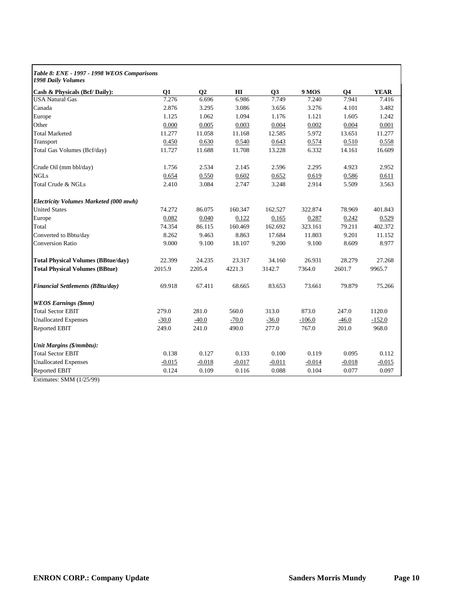| Table 8: ENE - 1997 - 1998 WEOS Comparisons<br>1998 Daily Volumes |          |                |          |                |          |                |             |
|-------------------------------------------------------------------|----------|----------------|----------|----------------|----------|----------------|-------------|
| Cash & Physicals (Bcf/ Daily):                                    | Q1       | Q <sub>2</sub> | H        | Q <sub>3</sub> | 9 MOS    | Q <sub>4</sub> | <b>YEAR</b> |
| <b>USA Natural Gas</b>                                            | 7.276    | 6.696          | 6.986    | 7.749          | 7.240    | 7.941          | 7.416       |
| Canada                                                            | 2.876    | 3.295          | 3.086    | 3.656          | 3.276    | 4.101          | 3.482       |
| Europe                                                            | 1.125    | 1.062          | 1.094    | 1.176          | 1.121    | 1.605          | 1.242       |
| Other                                                             | 0.000    | 0.005          | 0.003    | 0.004          | 0.002    | 0.004          | 0.001       |
| <b>Total Marketed</b>                                             | 11.277   | 11.058         | 11.168   | 12.585         | 5.972    | 13.651         | 11.277      |
| Transport                                                         | 0.450    | 0.630          | 0.540    | 0.643          | 0.574    | 0.510          | 0.558       |
| Total Gas Volumes (Bcf/day)                                       | 11.727   | 11.688         | 11.708   | 13.228         | 6.332    | 14.161         | 16.609      |
| Crude Oil (mm bbl/day)                                            | 1.756    | 2.534          | 2.145    | 2.596          | 2.295    | 4.923          | 2.952       |
| <b>NGLs</b>                                                       | 0.654    | 0.550          | 0.602    | 0.652          | 0.619    | 0.586          | 0.611       |
| Total Crude & NGLs                                                | 2.410    | 3.084          | 2.747    | 3.248          | 2.914    | 5.509          | 3.563       |
| Electricity Volumes Marketed (000 mwh)                            |          |                |          |                |          |                |             |
| <b>United States</b>                                              | 74.272   | 86.075         | 160.347  | 162.527        | 322.874  | 78.969         | 401.843     |
| Europe                                                            | 0.082    | 0.040          | 0.122    | 0.165          | 0.287    | 0.242          | 0.529       |
| Total                                                             | 74.354   | 86.115         | 160.469  | 162.692        | 323.161  | 79.211         | 402.372     |
| Converted to Bbtu/day                                             | 8.262    | 9.463          | 8.863    | 17.684         | 11.803   | 9.201          | 11.152      |
| <b>Conversion Ratio</b>                                           | 9.000    | 9.100          | 18.107   | 9.200          | 9.100    | 8.609          | 8.977       |
| <b>Total Physical Volumes (BBtue/day)</b>                         | 22.399   | 24.235         | 23.317   | 34.160         | 26.931   | 28.279         | 27.268      |
| <b>Total Physical Volumes (BBtue)</b>                             | 2015.9   | 2205.4         | 4221.3   | 3142.7         | 7364.0   | 2601.7         | 9965.7      |
| Financial Settlements (BBtu/day)                                  | 69.918   | 67.411         | 68.665   | 83.653         | 73.661   | 79.879         | 75.266      |
| <b>WEOS Earnings (\$mm)</b>                                       |          |                |          |                |          |                |             |
| <b>Total Sector EBIT</b>                                          | 279.0    | 281.0          | 560.0    | 313.0          | 873.0    | 247.0          | 1120.0      |
| <b>Unallocated Expenses</b>                                       | $-30.0$  | $-40.0$        | $-70.0$  | $-36.0$        | $-106.0$ | $-46.0$        | $-152.0$    |
| Reported EBIT                                                     | 249.0    | 241.0          | 490.0    | 277.0          | 767.0    | 201.0          | 968.0       |
| Unit Margins (\$/mmbtu):                                          |          |                |          |                |          |                |             |
| <b>Total Sector EBIT</b>                                          | 0.138    | 0.127          | 0.133    | 0.100          | 0.119    | 0.095          | 0.112       |
| <b>Unallocated Expenses</b>                                       | $-0.015$ | $-0.018$       | $-0.017$ | $-0.011$       | $-0.014$ | $-0.018$       | $-0.015$    |
| Reported EBIT                                                     | 0.124    | 0.109          | 0.116    | 0.088          | 0.104    | 0.077          | 0.097       |
|                                                                   |          |                |          |                |          |                |             |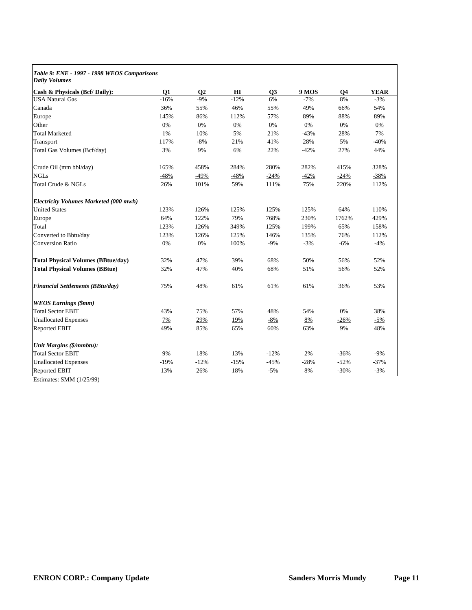| Table 9: ENE - 1997 - 1998 WEOS Comparisons<br><b>Daily Volumes</b> |        |           |        |        |              |           |             |
|---------------------------------------------------------------------|--------|-----------|--------|--------|--------------|-----------|-------------|
| Cash & Physicals (Bcf/Daily):                                       | Q1     | <b>O2</b> | H I    | Q3     | <b>9 MOS</b> | <b>O4</b> | <b>YEAR</b> |
| <b>USA Natural Gas</b>                                              | $-16%$ | $-9%$     | $-12%$ | 6%     | $-7%$        | 8%        | $-3%$       |
| Canada                                                              | 36%    | 55%       | 46%    | 55%    | 49%          | 66%       | 54%         |
| Europe                                                              | 145%   | 86%       | 112%   | 57%    | 89%          | 88%       | 89%         |
| Other                                                               | 0%     | 0%        | 0%     | 0%     | 0%           | 0%        | 0%          |
| <b>Total Marketed</b>                                               | 1%     | 10%       | 5%     | 21%    | $-43%$       | 28%       | 7%          |
| Transport                                                           | 117%   | $-8%$     | 21%    | 41%    | 28%          | 5%        | $-40%$      |
| Total Gas Volumes (Bcf/day)                                         | 3%     | 9%        | 6%     | 22%    | $-42%$       | 27%       | 44%         |
| Crude Oil (mm bbl/day)                                              | 165%   | 458%      | 284%   | 280%   | 282%         | 415%      | 328%        |
| <b>NGLs</b>                                                         | $-48%$ | $-49%$    | $-48%$ | $-24%$ | $-42%$       | $-24%$    | $-38%$      |
| Total Crude & NGLs                                                  | 26%    | 101%      | 59%    | 111%   | 75%          | 220%      | 112%        |
| Electricity Volumes Marketed (000 mwh)                              |        |           |        |        |              |           |             |
| <b>United States</b>                                                | 123%   | 126%      | 125%   | 125%   | 125%         | 64%       | 110%        |
| Europe                                                              | 64%    | 122%      | 79%    | 768%   | 230%         | 1762%     | 429%        |
| Total                                                               | 123%   | 126%      | 349%   | 125%   | 199%         | 65%       | 158%        |
| Converted to Bbtu/day                                               | 123%   | 126%      | 125%   | 146%   | 135%         | 76%       | 112%        |
| <b>Conversion Ratio</b>                                             | 0%     | 0%        | 100%   | $-9%$  | $-3%$        | $-6%$     | $-4%$       |
| <b>Total Physical Volumes (BBtue/day)</b>                           | 32%    | 47%       | 39%    | 68%    | 50%          | 56%       | 52%         |
| <b>Total Physical Volumes (BBtue)</b>                               | 32%    | 47%       | 40%    | 68%    | 51%          | 56%       | 52%         |
| <b>Financial Settlements (BBtu/day)</b>                             | 75%    | 48%       | 61%    | 61%    | 61%          | 36%       | 53%         |
| <b>WEOS Earnings (\$mm)</b>                                         |        |           |        |        |              |           |             |
| <b>Total Sector EBIT</b>                                            | 43%    | 75%       | 57%    | 48%    | 54%          | 0%        | 38%         |
| <b>Unallocated Expenses</b>                                         | 7%     | 29%       | 19%    | $-8%$  | $8\%$        | $-26%$    | $-5%$       |
| Reported EBIT                                                       | 49%    | 85%       | 65%    | 60%    | 63%          | 9%        | 48%         |
| Unit Margins (\$/mmbtu):                                            |        |           |        |        |              |           |             |
| <b>Total Sector EBIT</b>                                            | 9%     | 18%       | 13%    | $-12%$ | 2%           | $-36%$    | $-9%$       |
| <b>Unallocated Expenses</b>                                         | $-19%$ | $-12%$    | $-15%$ | $-45%$ | $-28%$       | $-52%$    | $-37%$      |
| <b>Reported EBIT</b>                                                | 13%    | 26%       | 18%    | $-5%$  | 8%           | $-30%$    | $-3%$       |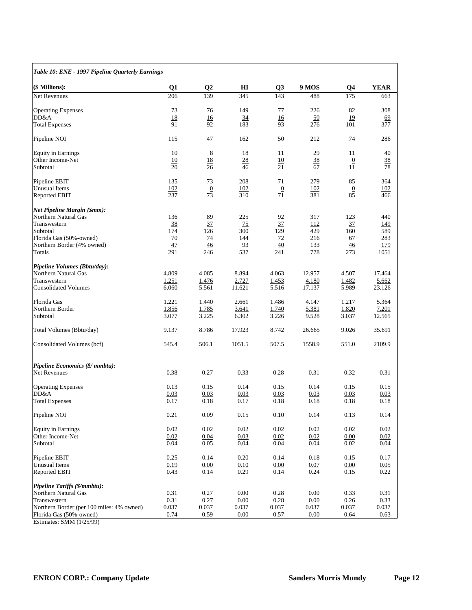| Table 10: ENE - 1997 Pipeline Quarterly Earnings |       |                 |        |                |        |                 |             |
|--------------------------------------------------|-------|-----------------|--------|----------------|--------|-----------------|-------------|
| (\$ Millions):                                   | Q1    | Q <sub>2</sub>  | Ш      | Q3             | 9 MOS  | Q <sub>4</sub>  | <b>YEAR</b> |
| Net Revenues                                     | 206   | 139             | 345    | 143            | 488    | 175             | 663         |
| <b>Operating Expenses</b>                        | 73    | 76              | 149    | 77             | 226    | 82              | 308         |
| DD&A                                             | 18    | 16              | 34     | 16             | 50     | 19              | 69          |
| <b>Total Expenses</b>                            | 91    | 92              | 183    | 93             | 276    | 101             | 377         |
| Pipeline NOI                                     | 115   | 47              | 162    | 50             | 212    | 74              | 286         |
| <b>Equity in Earnings</b>                        | 10    | 8               | 18     | 11             | 29     | 11              | 40          |
| Other Income-Net                                 | 10    | 18              | 28     | 10             | 38     | $\overline{0}$  | 38          |
| Subtotal                                         | 20    | 26              | 46     | 21             | 67     | 11              | 78          |
| Pipeline EBIT                                    | 135   | 73              | 208    | 71             | 279    | 85              | 364         |
| Unusual Items                                    | 102   | $\underline{0}$ | 102    | $\overline{0}$ | 102    | $\overline{0}$  | 102         |
| Reported EBIT                                    | 237   | 73              | 310    | 71             | 381    | 85              | 466         |
| <b>Net Pipeline Margin (\$mm):</b>               |       |                 |        |                |        |                 |             |
| Northern Natural Gas                             | 136   | 89              | 225    | 92             | 317    | 123             | 440         |
| Transwestern                                     | 38    | 37              | 75     | 37             | 112    | 37              | 149         |
| Subtotal                                         | 174   | 126             | 300    | 129            | 429    | 160             | 589         |
| Florida Gas (50%-owned)                          | 70    | 74              | 144    | 72             | 216    | 67              | 283         |
| Northern Border (4% owned)                       | 47    | 46              | 93     | 40             | 133    | $\overline{46}$ | 179         |
| Totals                                           | 291   | 246             | 537    | 241            | 778    | 273             | 1051        |
| Pipeline Volumes (Bbtu/day):                     |       |                 |        |                |        |                 |             |
| Northern Natural Gas                             | 4.809 | 4.085           | 8.894  | 4.063          | 12.957 | 4.507           | 17.464      |
| Transwestern                                     | 1.251 | 1.476           | 2.727  | 1.453          | 4.180  | 1.482           | 5.662       |
| <b>Consolidated Volumes</b>                      | 6.060 | 5.561           | 11.621 | 5.516          | 17.137 | 5.989           | 23.126      |
| Florida Gas                                      | 1.221 | 1.440           | 2.661  | 1.486          | 4.147  | 1.217           | 5.364       |
| Northern Border                                  | 1.856 | 1.785           | 3.641  | 1.740          | 5.381  | 1.820           | 7.201       |
| Subtotal                                         | 3.077 | 3.225           | 6.302  | 3.226          | 9.528  | 3.037           | 12.565      |
| Total Volumes (Bbtu/day)                         | 9.137 | 8.786           | 17.923 | 8.742          | 26.665 | 9.026           | 35.691      |
| Consolidated Volumes (bcf)                       | 545.4 | 506.1           | 1051.5 | 507.5          | 1558.9 | 551.0           | 2109.9      |
| Pipeline Economics (\$/ mmbtu):                  |       |                 |        |                |        |                 |             |
| Net Revenues                                     | 0.38  | 0.27            | 0.33   | 0.28           | 0.31   | 0.32            | 0.31        |
| <b>Operating Expenses</b>                        | 0.13  | 0.15            | 0.14   | 0.15           | 0.14   | 0.15            | 0.15        |
| DD&A                                             | 0.03  | 0.03            | 0.03   | 0.03           | 0.03   | 0.03            | 0.03        |
| <b>Total Expenses</b>                            | 0.17  | 0.18            | 0.17   | 0.18           | 0.18   | 0.18            | 0.18        |
| Pipeline NOI                                     | 0.21  | 0.09            | 0.15   | 0.10           | 0.14   | 0.13            | 0.14        |
| <b>Equity in Earnings</b>                        | 0.02  | $0.02\,$        | 0.02   | 0.02           | 0.02   | 0.02            | 0.02        |
| Other Income-Net                                 | 0.02  | 0.04            | 0.03   | 0.02           | 0.02   | 0.00            | 0.02        |
| Subtotal                                         | 0.04  | 0.05            | 0.04   | 0.04           | 0.04   | 0.02            | 0.04        |
| Pipeline EBIT                                    | 0.25  | 0.14            | 0.20   | 0.14           | 0.18   | 0.15            | 0.17        |
| Unusual Items                                    | 0.19  | 0.00            | 0.10   | 0.00           | 0.07   | 0.00            | 0.05        |
| <b>Reported EBIT</b>                             | 0.43  | 0.14            | 0.29   | 0.14           | 0.24   | 0.15            | 0.22        |
| <b>Pipeline Tariffs (\$/mmbtu):</b>              |       |                 |        |                |        |                 |             |
| Northern Natural Gas                             | 0.31  | 0.27            | 0.00   | 0.28           | 0.00   | 0.33            | 0.31        |
| Transwestern                                     | 0.31  | 0.27            | 0.00   | 0.28           | 0.00   | 0.26            | 0.33        |
| Northern Border (per 100 miles: 4% owned)        | 0.037 | 0.037           | 0.037  | 0.037          | 0.037  | 0.037           | 0.037       |
| Florida Gas (50%-owned)                          | 0.74  | 0.59            | 0.00   | 0.57           | 0.00   | 0.64            | 0.63        |
| Estimates: SMM (1/25/99)                         |       |                 |        |                |        |                 |             |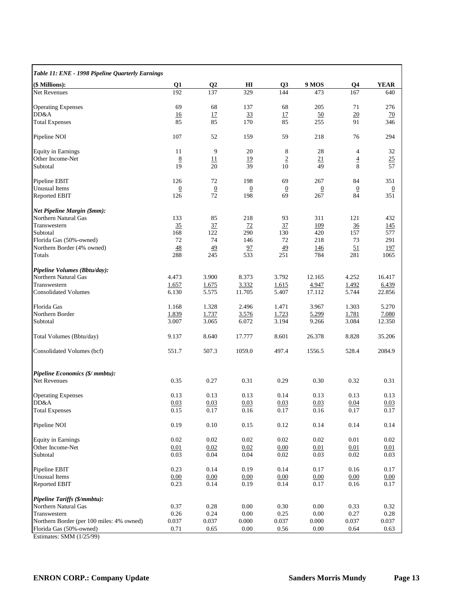| Table 11: ENE - 1998 Pipeline Quarterly Earnings |                |                |                |                |                |                |                 |
|--------------------------------------------------|----------------|----------------|----------------|----------------|----------------|----------------|-----------------|
| (\$ Millions):                                   | Q <sub>1</sub> | $\mathbf{Q}$   | HІ             | Q <sub>3</sub> | 9 MOS          | Q <sub>4</sub> | <b>YEAR</b>     |
| <b>Net Revenues</b>                              | 192            | 137            | 329            | 144            | 473            | 167            | 640             |
| <b>Operating Expenses</b>                        | 69             | 68             | 137            | 68             | 205            | 71             | 276             |
| DD&A                                             | 16             | 17             | 33             | 17             | 50             | 20             | $\overline{20}$ |
| <b>Total Expenses</b>                            | 85             | 85             | 170            | 85             | 255            | 91             | 346             |
| Pipeline NOI                                     | 107            | 52             | 159            | 59             | 218            | 76             | 294             |
| <b>Equity in Earnings</b>                        | 11             | 9              | 20             | 8              | 28             | 4              | 32              |
| Other Income-Net                                 | 8              | 11             | 19             | $\overline{2}$ | 21             | $\overline{4}$ | 25              |
| Subtotal                                         | 19             | 20             | 39             | 10             | 49             | 8              | 57              |
| Pipeline EBIT                                    | 126            | 72             | 198            | 69             | 267            | 84             | 351             |
| <b>Unusual</b> Items                             | $\overline{0}$ | $\overline{0}$ | $\overline{0}$ | $\overline{0}$ | $\overline{0}$ | $\overline{0}$ | $\underline{0}$ |
| <b>Reported EBIT</b>                             | 126            | 72             | 198            | 69             | 267            | 84             | 351             |
| Net Pipeline Margin (\$mm):                      |                |                |                |                |                |                |                 |
| Northern Natural Gas                             | 133            | 85             | 218            | 93             | 311            | 121            | 432             |
| Transwestern                                     | 35             | 37             | 72             | 37             | 109            | $\frac{36}{5}$ | <u> 145</u>     |
| Subtotal                                         | 168            | 122            | 290            | 130            | 420            | 157            | 577             |
| Florida Gas (50%-owned)                          | 72             | 74             | 146            | 72             | 218            | 73             | 291             |
| Northern Border (4% owned)                       | 48             | 49             | 97             | 49             | <u> 146</u>    | 51             | 197             |
| Totals                                           | 288            | 245            | 533            | 251            | 784            | 281            | 1065            |
| Pipeline Volumes (Bbtu/day):                     |                |                |                |                |                |                |                 |
| Northern Natural Gas                             | 4.473          | 3.900          | 8.373          | 3.792          | 12.165         | 4.252          | 16.417          |
| Transwestern                                     | 1.657          | 1.675          | 3.332          | <u>1.615</u>   | 4.947          | 1.492          | 6.439           |
| <b>Consolidated Volumes</b>                      | 6.130          | 5.575          | 11.705         | 5.407          | 17.112         | 5.744          | 22.856          |
| Florida Gas                                      | 1.168          | 1.328          | 2.496          | 1.471          | 3.967          | 1.303          | 5.270           |
| Northern Border                                  | 1.839          | 1.737          | 3.576          | 1.723          | 5.299          | 1.781          | 7.080           |
| Subtotal                                         | 3.007          | 3.065          | 6.072          | 3.194          | 9.266          | 3.084          | 12.350          |
| Total Volumes (Bbtu/day)                         | 9.137          | 8.640          | 17.777         | 8.601          | 26.378         | 8.828          | 35.206          |
| Consolidated Volumes (bcf)                       | 551.7          | 507.3          | 1059.0         | 497.4          | 1556.5         | 528.4          | 2084.9          |
| Pipeline Economics (\$/ mmbtu):                  |                |                |                |                |                |                |                 |
| Net Revenues                                     | 0.35           | 0.27           | 0.31           | 0.29           | 0.30           | 0.32           | 0.31            |
| <b>Operating Expenses</b>                        | 0.13           | 0.13           | 0.13           | 0.14           | 0.13           | 0.13           | 0.13            |
| DD&A                                             | 0.03           | 0.03           | 0.03           | 0.03           | 0.03           | 0.04           | 0.03            |
| <b>Total Expenses</b>                            | 0.15           | 0.17           | 0.16           | 0.17           | 0.16           | 0.17           | 0.17            |
| Pipeline NOI                                     | 0.19           | 0.10           | 0.15           | 0.12           | $0.14\,$       | 0.14           | 0.14            |
| <b>Equity in Earnings</b>                        | $0.02\,$       | 0.02           | 0.02           | 0.02           | 0.02           | 0.01           | 0.02            |
| Other Income-Net                                 | 0.01           | 0.02           | 0.02           | 0.00           | 0.01           | 0.01           | 0.01            |
| Subtotal                                         | 0.03           | 0.04           | 0.04           | 0.02           | 0.03           | 0.02           | 0.03            |
| Pipeline EBIT                                    | 0.23           | 0.14           | 0.19           | 0.14           | 0.17           | 0.16           | 0.17            |
| <b>Unusual Items</b>                             | 0.00           | 0.00           | 0.00           | 0.00           | 0.00           | 0.00           | 0.00            |
| Reported EBIT                                    | 0.23           | 0.14           | 0.19           | 0.14           | 0.17           | $0.16\,$       | 0.17            |
| Pipeline Tariffs (\$/mmbtu):                     |                |                |                |                |                |                |                 |
| Northern Natural Gas                             | 0.37           | 0.28           | 0.00           | 0.30           | 0.00           | 0.33           | 0.32            |
| Transwestern                                     | 0.26           | 0.24           | 0.00           | 0.25           | 0.00           | 0.27           | 0.28            |
| Northern Border (per 100 miles: 4% owned)        | 0.037          | 0.037          | 0.000          | 0.037          | 0.000          | 0.037          | 0.037           |
| Florida Gas (50%-owned)                          | 0.71           | 0.65           | $0.00\,$       | 0.56           | $0.00\,$       | 0.64           | 0.63            |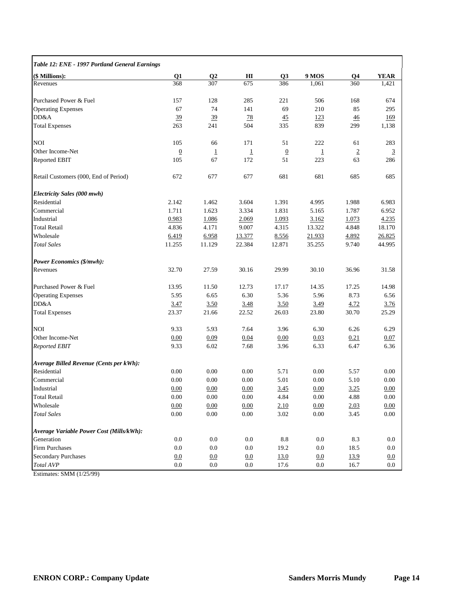| Table 12: ENE - 1997 Portland General Earnings |                 |                |                |                 |                |                |                |
|------------------------------------------------|-----------------|----------------|----------------|-----------------|----------------|----------------|----------------|
| (\$ Millions):                                 | Q <sub>1</sub>  | $\mathbf{Q}$   | Ш              | Q3              | 9 MOS          | Q <sub>4</sub> | <b>YEAR</b>    |
| Revenues                                       | 368             | 307            | 675            | 386             | 1,061          | 360            | 1,421          |
| Purchased Power & Fuel                         | 157             | 128            | 285            | 221             | 506            | 168            | 674            |
| <b>Operating Expenses</b>                      | 67              | 74             | 141            | 69              | 210            | 85             | 295            |
| DD&A                                           | 39              | 39             | 78             | $\frac{45}{5}$  | 123            | 46             | 169            |
| <b>Total Expenses</b>                          | 263             | 241            | 504            | 335             | 839            | 299            | 1,138          |
| NOI                                            | 105             | 66             | 171            | 51              | 222            | 61             | 283            |
| Other Income-Net                               | $\underline{0}$ | $\overline{1}$ | $\overline{1}$ | $\overline{0}$  | $\overline{1}$ | $\overline{2}$ | $\overline{3}$ |
| Reported EBIT                                  | 105             | 67             | 172            | 51              | 223            | 63             | 286            |
| Retail Customers (000, End of Period)          | 672             | 677            | 677            | 681             | 681            | 685            | 685            |
| Electricity Sales (000 mwh)                    |                 |                |                |                 |                |                |                |
| Residential                                    | 2.142           | 1.462          | 3.604          | 1.391           | 4.995          | 1.988          | 6.983          |
| Commercial                                     | 1.711           | 1.623          | 3.334          | 1.831           | 5.165          | 1.787          | 6.952          |
| Industrial                                     | 0.983           | 1.086          | 2.069          | 1.093           | 3.162          | 1.073          | 4.235          |
| <b>Total Retail</b>                            | 4.836           | 4.171          | 9.007          | 4.315           | 13.322         | 4.848          | 18.170         |
| Wholesale                                      | 6.419           | 6.958          | 13.377         | 8.556           | 21.933         | 4.892          | 26.825         |
| <b>Total Sales</b>                             | 11.255          | 11.129         | 22.384         | 12.871          | 35.255         | 9.740          | 44.995         |
| Power Economics (\$/mwh):                      |                 |                |                |                 |                |                |                |
| Revenues                                       | 32.70           | 27.59          | 30.16          | 29.99           | 30.10          | 36.96          | 31.58          |
| Purchased Power & Fuel                         | 13.95           | 11.50          | 12.73          | 17.17           | 14.35          | 17.25          | 14.98          |
| <b>Operating Expenses</b>                      | 5.95            | 6.65           | 6.30           | 5.36            | 5.96           | 8.73           | 6.56           |
| DD&A                                           | 3.47            | 3.50           | 3.48           | 3.50            | 3.49           | 4.72           | 3.76           |
| <b>Total Expenses</b>                          | 23.37           | 21.66          | 22.52          | 26.03           | 23.80          | 30.70          | 25.29          |
| NOI                                            | 9.33            | 5.93           | 7.64           | 3.96            | 6.30           | 6.26           | 6.29           |
| Other Income-Net                               | 0.00            | 0.09           | 0.04           | 0.00            | 0.03           | 0.21           | 0.07           |
| <b>Reported EBIT</b>                           | 9.33            | 6.02           | 7.68           | 3.96            | 6.33           | 6.47           | 6.36           |
| Average Billed Revenue (Cents per kWh):        |                 |                |                |                 |                |                |                |
| Residential                                    | 0.00            | 0.00           | 0.00           | 5.71            | 0.00           | 5.57           | 0.00           |
| Commercial                                     | 0.00            | 0.00           | 0.00           | 5.01            | 0.00           | 5.10           | 0.00           |
| Industrial                                     | 0.00            | 0.00           | 0.00           | 3.45            | 0.00           | 3.25           | 0.00           |
| <b>Total Retail</b>                            | 0.00            | 0.00           | 0.00           | 4.84            | 0.00           | 4.88           | 0.00           |
| Wholesale                                      | 0.00            | 0.00           | 0.00           | 2.10            | 0.00           | 2.03           | 0.00           |
| <b>Total Sales</b>                             | $0.00\,$        | $0.00\,$       | $0.00\,$       | 3.02            | $0.00\,$       | 3.45           | $0.00\,$       |
| Average Variable Power Cost (Mills/kWh):       |                 |                |                |                 |                |                |                |
| Generation                                     | 0.0             | $0.0\,$        | $0.0\,$        | $\!\!\!\!\!8.8$ | 0.0            | 8.3            | 0.0            |
| <b>Firm Purchases</b>                          | $0.0\,$         | $0.0\,$        | $0.0\,$        | 19.2            | $0.0\,$        | 18.5           | 0.0            |
| Secondary Purchases                            | 0.0             | 0.0            | 0.0            | 13.0            | 0.0            | 13.9           | 0.0            |
| Total AVP                                      | $0.0\,$         | 0.0            | $0.0\,$        | 17.6            | 0.0            | 16.7           | 0.0            |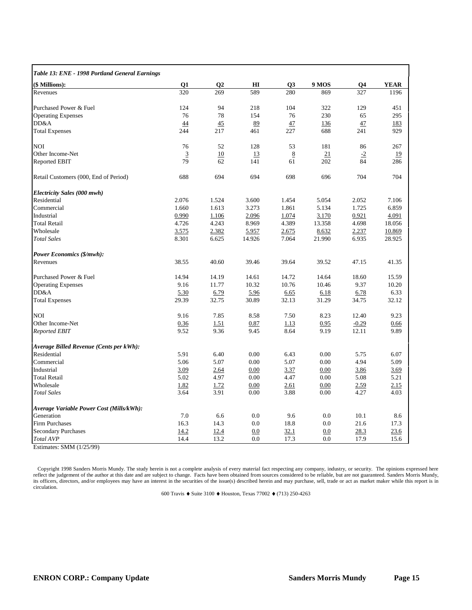| Table 13: ENE - 1998 Portland General Earnings |                |                |           |             |        |         |             |
|------------------------------------------------|----------------|----------------|-----------|-------------|--------|---------|-------------|
| (\$ Millions):                                 | Q1             | Q <sub>2</sub> | H I       | Q3          | 9 MOS  | Q4      | <b>YEAR</b> |
| Revenues                                       | 320            | 269            | 589       | 280         | 869    | 327     | 1196        |
| Purchased Power & Fuel                         | 124            | 94             | 218       | 104         | 322    | 129     | 451         |
| <b>Operating Expenses</b>                      | 76             | 78             | 154       | 76          | 230    | 65      | 295         |
| DD&A                                           | 44             | 45             | 89        | 47          | 136    | 47      | 183         |
| <b>Total Expenses</b>                          | 244            | 217            | 461       | 227         | 688    | 241     | 929         |
| <b>NOI</b>                                     | 76             | 52             | 128       | 53          | 181    | 86      | 267         |
| Other Income-Net                               | $\overline{3}$ | 10             | <u>13</u> | 8           | 21     | $-2$    | 19          |
| <b>Reported EBIT</b>                           | 79             | 62             | 141       | 61          | 202    | 84      | 286         |
| Retail Customers (000, End of Period)          | 688            | 694            | 694       | 698         | 696    | 704     | 704         |
| Electricity Sales (000 mwh)                    |                |                |           |             |        |         |             |
| Residential                                    | 2.076          | 1.524          | 3.600     | 1.454       | 5.054  | 2.052   | 7.106       |
| Commercial                                     | 1.660          | 1.613          | 3.273     | 1.861       | 5.134  | 1.725   | 6.859       |
| Industrial                                     | 0.990          | 1.106          | 2.096     | 1.074       | 3.170  | 0.921   | 4.091       |
| <b>Total Retail</b>                            | 4.726          | 4.243          | 8.969     | 4.389       | 13.358 | 4.698   | 18.056      |
| Wholesale                                      | 3.575          | 2.382          | 5.957     | 2.675       | 8.632  | 2.237   | 10.869      |
| <b>Total Sales</b>                             | 8.301          | 6.625          | 14.926    | 7.064       | 21.990 | 6.935   | 28.925      |
| <b>Power Economics (\$/mwh):</b>               |                |                |           |             |        |         |             |
| Revenues                                       | 38.55          | 40.60          | 39.46     | 39.64       | 39.52  | 47.15   | 41.35       |
| Purchased Power & Fuel                         | 14.94          | 14.19          | 14.61     | 14.72       | 14.64  | 18.60   | 15.59       |
| <b>Operating Expenses</b>                      | 9.16           | 11.77          | 10.32     | 10.76       | 10.46  | 9.37    | 10.20       |
| DD&A                                           | 5.30           | 6.79           | 5.96      | 6.65        | 6.18   | 6.78    | 6.33        |
| <b>Total Expenses</b>                          | 29.39          | 32.75          | 30.89     | 32.13       | 31.29  | 34.75   | 32.12       |
| <b>NOI</b>                                     | 9.16           | 7.85           | 8.58      | 7.50        | 8.23   | 12.40   | 9.23        |
| Other Income-Net                               | 0.36           | 1.51           | 0.87      | 1.13        | 0.95   | $-0.29$ | 0.66        |
| <b>Reported EBIT</b>                           | 9.52           | 9.36           | 9.45      | 8.64        | 9.19   | 12.11   | 9.89        |
| Average Billed Revenue (Cents per kWh):        |                |                |           |             |        |         |             |
| Residential                                    | 5.91           | 6.40           | 0.00      | 6.43        | 0.00   | 5.75    | 6.07        |
| Commercial                                     | 5.06           | 5.07           | 0.00      | 5.07        | 0.00   | 4.94    | 5.09        |
| Industrial                                     | 3.09           | 2.64           | 0.00      | 3.37        | 0.00   | 3.86    | 3.69        |
| <b>Total Retail</b>                            | 5.02           | 4.97           | 0.00      | 4.47        | 0.00   | 5.08    | 5.21        |
| Wholesale                                      | 1.82           | 1.72           | 0.00      | 2.61        | 0.00   | 2.59    | 2.15        |
| <b>Total Sales</b>                             | 3.64           | 3.91           | 0.00      | 3.88        | 0.00   | 4.27    | 4.03        |
| Average Variable Power Cost (Mills/kWh):       |                |                |           |             |        |         |             |
| Generation                                     | 7.0            | 6.6            | 0.0       | 9.6         | 0.0    | 10.1    | 8.6         |
| Firm Purchases                                 | 16.3           | 14.3           | 0.0       | 18.8        | 0.0    | 21.6    | 17.3        |
| <b>Secondary Purchases</b>                     | <u>14.2</u>    | 12.4           | 0.0       | <u>32.1</u> | 0.0    | 28.3    | 23.6        |
| Total AVP                                      | 14.4           | 13.2           | 0.0       | 17.3        | 0.0    | 17.9    | 15.6        |

©Copyright 1998 Sanders Morris Mundy. The study herein is not a complete analysis of every material fact respecting any company, industry, or security. The opinions expressed here<br>reflect the judgement of the author at thi its officers, directors, and/or employees may have an interest in the securities of the issue(s) described herein and may purchase, sell, trade or act as market maker while this report is in circulation.

600 Travis ♦ Suite 3100 ♦ Houston, Texas 77002 ♦ (713) 250-4263